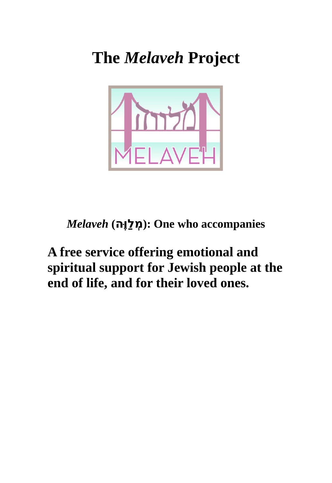**The** *Melaveh* **Project**



## **accompanies who One : )ממ לְל וַ ווהֶּ)** *Melaveh*

## **A free service offering emotional and spiritual support for Jewish people at the end of life, and for their loved ones.**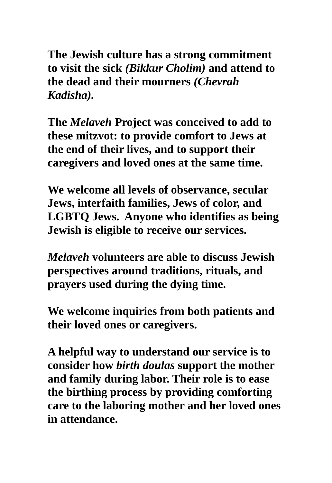**The Jewish culture has a strong commitment to visit the sick** *(Bikkur Cholim)* **and attend to the dead and their mourners** *(Chevrah Kadisha).* 

**The** *Melaveh* **Project was conceived to add to these mitzvot: to provide comfort to Jews at the end of their lives, and to support their caregivers and loved ones at the same time.**

**We welcome all levels of observance, secular Jews, interfaith families, Jews of color, and LGBTQ Jews. Anyone who identifies as being Jewish is eligible to receive our services.** 

*Melaveh* **volunteers are able to discuss Jewish perspectives around traditions, rituals, and prayers used during the dying time.**

**We welcome inquiries from both patients and their loved ones or caregivers.**

**A helpful way to understand our service is to consider how** *birth doulas* **support the mother and family during labor. Their role is to ease the birthing process by providing comforting care to the laboring mother and her loved ones in attendance.**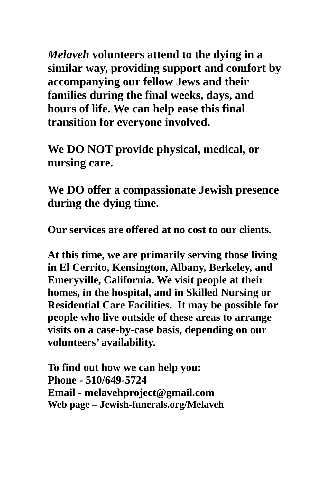*Melaveh* **volunteers attend to the dying in a similar way, providing support and comfort by accompanying our fellow Jews and their families during the final weeks, days, and hours of life. We can help ease this final transition for everyone involved.**

**We DO NOT provide physical, medical, or nursing care.**

**We DO offer a compassionate Jewish presence during the dying time.**

**Our services are offered at no cost to our clients.** 

**At this time, we are primarily serving those living in El Cerrito, Kensington, Albany, Berkeley, and Emeryville, California. We visit people at their homes, in the hospital, and in Skilled Nursing or Residential Care Facilities. It may be possible for people who live outside of these areas to arrange visits on a case-by-case basis, depending on our volunteers' availability.** 

**To find out how we can help you: Phone - 510/649-5724 Email - melavehproject@gmail.com Web page – Jewish-funerals.org/Melaveh**